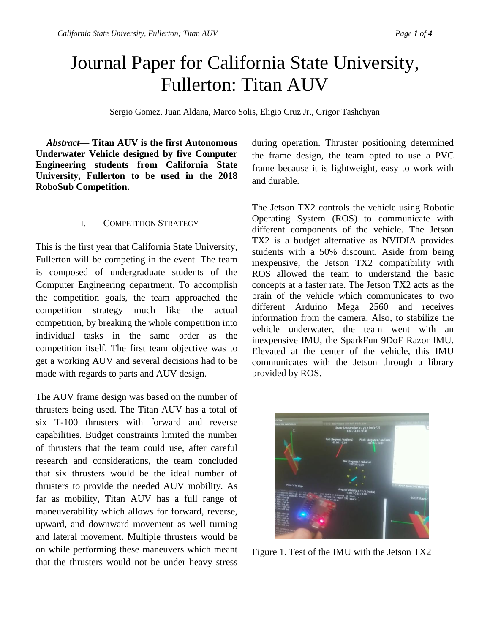# Journal Paper for California State University, Fullerton: Titan AUV

Sergio Gomez, Juan Aldana, Marco Solis, Eligio Cruz Jr., Grigor Tashchyan

*Abstract***— Titan AUV is the first Autonomous Underwater Vehicle designed by five Computer Engineering students from California State University, Fullerton to be used in the 2018 RoboSub Competition.** 

#### I. COMPETITION STRATEGY

This is the first year that California State University, Fullerton will be competing in the event. The team is composed of undergraduate students of the Computer Engineering department. To accomplish the competition goals, the team approached the competition strategy much like the actual competition, by breaking the whole competition into individual tasks in the same order as the competition itself. The first team objective was to get a working AUV and several decisions had to be made with regards to parts and AUV design.

The AUV frame design was based on the number of thrusters being used. The Titan AUV has a total of six T-100 thrusters with forward and reverse capabilities. Budget constraints limited the number of thrusters that the team could use, after careful research and considerations, the team concluded that six thrusters would be the ideal number of thrusters to provide the needed AUV mobility. As far as mobility, Titan AUV has a full range of maneuverability which allows for forward, reverse, upward, and downward movement as well turning and lateral movement. Multiple thrusters would be on while performing these maneuvers which meant that the thrusters would not be under heavy stress

during operation. Thruster positioning determined the frame design, the team opted to use a PVC frame because it is lightweight, easy to work with and durable.

The Jetson TX2 controls the vehicle using Robotic Operating System (ROS) to communicate with different components of the vehicle. The Jetson TX2 is a budget alternative as NVIDIA provides students with a 50% discount. Aside from being inexpensive, the Jetson TX2 compatibility with ROS allowed the team to understand the basic concepts at a faster rate. The Jetson TX2 acts as the brain of the vehicle which communicates to two different Arduino Mega 2560 and receives information from the camera. Also, to stabilize the vehicle underwater, the team went with an inexpensive IMU, the SparkFun 9DoF Razor IMU. Elevated at the center of the vehicle, this IMU communicates with the Jetson through a library provided by ROS.



Figure 1. Test of the IMU with the Jetson TX2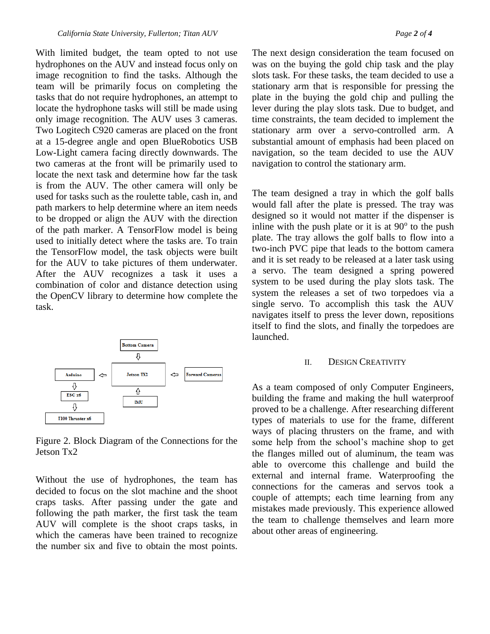With limited budget, the team opted to not use hydrophones on the AUV and instead focus only on image recognition to find the tasks. Although the team will be primarily focus on completing the tasks that do not require hydrophones, an attempt to locate the hydrophone tasks will still be made using only image recognition. The AUV uses 3 cameras. Two Logitech C920 cameras are placed on the front at a 15-degree angle and open BlueRobotics USB Low-Light camera facing directly downwards. The two cameras at the front will be primarily used to locate the next task and determine how far the task is from the AUV. The other camera will only be used for tasks such as the roulette table, cash in, and path markers to help determine where an item needs to be dropped or align the AUV with the direction of the path marker. A TensorFlow model is being used to initially detect where the tasks are. To train the TensorFlow model, the task objects were built for the AUV to take pictures of them underwater. After the AUV recognizes a task it uses a combination of color and distance detection using the OpenCV library to determine how complete the task.



Figure 2. Block Diagram of the Connections for the Jetson Tx2

Without the use of hydrophones, the team has decided to focus on the slot machine and the shoot craps tasks. After passing under the gate and following the path marker, the first task the team AUV will complete is the shoot craps tasks, in which the cameras have been trained to recognize the number six and five to obtain the most points.

The next design consideration the team focused on was on the buying the gold chip task and the play slots task. For these tasks, the team decided to use a stationary arm that is responsible for pressing the plate in the buying the gold chip and pulling the lever during the play slots task. Due to budget, and time constraints, the team decided to implement the stationary arm over a servo-controlled arm. A substantial amount of emphasis had been placed on navigation, so the team decided to use the AUV navigation to control the stationary arm.

The team designed a tray in which the golf balls would fall after the plate is pressed. The tray was designed so it would not matter if the dispenser is inline with the push plate or it is at  $90^\circ$  to the push plate. The tray allows the golf balls to flow into a two-inch PVC pipe that leads to the bottom camera and it is set ready to be released at a later task using a servo. The team designed a spring powered system to be used during the play slots task. The system the releases a set of two torpedoes via a single servo. To accomplish this task the AUV navigates itself to press the lever down, repositions itself to find the slots, and finally the torpedoes are launched.

#### II. DESIGN CREATIVITY

As a team composed of only Computer Engineers, building the frame and making the hull waterproof proved to be a challenge. After researching different types of materials to use for the frame, different ways of placing thrusters on the frame, and with some help from the school's machine shop to get the flanges milled out of aluminum, the team was able to overcome this challenge and build the external and internal frame. Waterproofing the connections for the cameras and servos took a couple of attempts; each time learning from any mistakes made previously. This experience allowed the team to challenge themselves and learn more about other areas of engineering.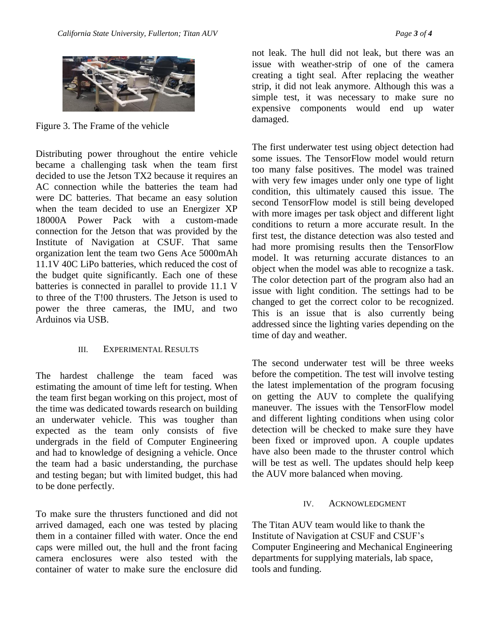

Figure 3. The Frame of the vehicle

Distributing power throughout the entire vehicle became a challenging task when the team first decided to use the Jetson TX2 because it requires an AC connection while the batteries the team had were DC batteries. That became an easy solution when the team decided to use an Energizer XP 18000A Power Pack with a custom-made connection for the Jetson that was provided by the Institute of Navigation at CSUF. That same organization lent the team two Gens Ace 5000mAh 11.1V 40C LiPo batteries, which reduced the cost of the budget quite significantly. Each one of these batteries is connected in parallel to provide 11.1 V to three of the T!00 thrusters. The Jetson is used to power the three cameras, the IMU, and two Arduinos via USB.

#### III. EXPERIMENTAL RESULTS

The hardest challenge the team faced was estimating the amount of time left for testing. When the team first began working on this project, most of the time was dedicated towards research on building an underwater vehicle. This was tougher than expected as the team only consists of five undergrads in the field of Computer Engineering and had to knowledge of designing a vehicle. Once the team had a basic understanding, the purchase and testing began; but with limited budget, this had to be done perfectly.

To make sure the thrusters functioned and did not arrived damaged, each one was tested by placing them in a container filled with water. Once the end caps were milled out, the hull and the front facing camera enclosures were also tested with the container of water to make sure the enclosure did

not leak. The hull did not leak, but there was an issue with weather-strip of one of the camera creating a tight seal. After replacing the weather strip, it did not leak anymore. Although this was a simple test, it was necessary to make sure no expensive components would end up water damaged.

The first underwater test using object detection had some issues. The TensorFlow model would return too many false positives. The model was trained with very few images under only one type of light condition, this ultimately caused this issue. The second TensorFlow model is still being developed with more images per task object and different light conditions to return a more accurate result. In the first test, the distance detection was also tested and had more promising results then the TensorFlow model. It was returning accurate distances to an object when the model was able to recognize a task. The color detection part of the program also had an issue with light condition. The settings had to be changed to get the correct color to be recognized. This is an issue that is also currently being addressed since the lighting varies depending on the time of day and weather.

The second underwater test will be three weeks before the competition. The test will involve testing the latest implementation of the program focusing on getting the AUV to complete the qualifying maneuver. The issues with the TensorFlow model and different lighting conditions when using color detection will be checked to make sure they have been fixed or improved upon. A couple updates have also been made to the thruster control which will be test as well. The updates should help keep the AUV more balanced when moving.

### IV. ACKNOWLEDGMENT

The Titan AUV team would like to thank the Institute of Navigation at CSUF and CSUF's Computer Engineering and Mechanical Engineering departments for supplying materials, lab space, tools and funding.